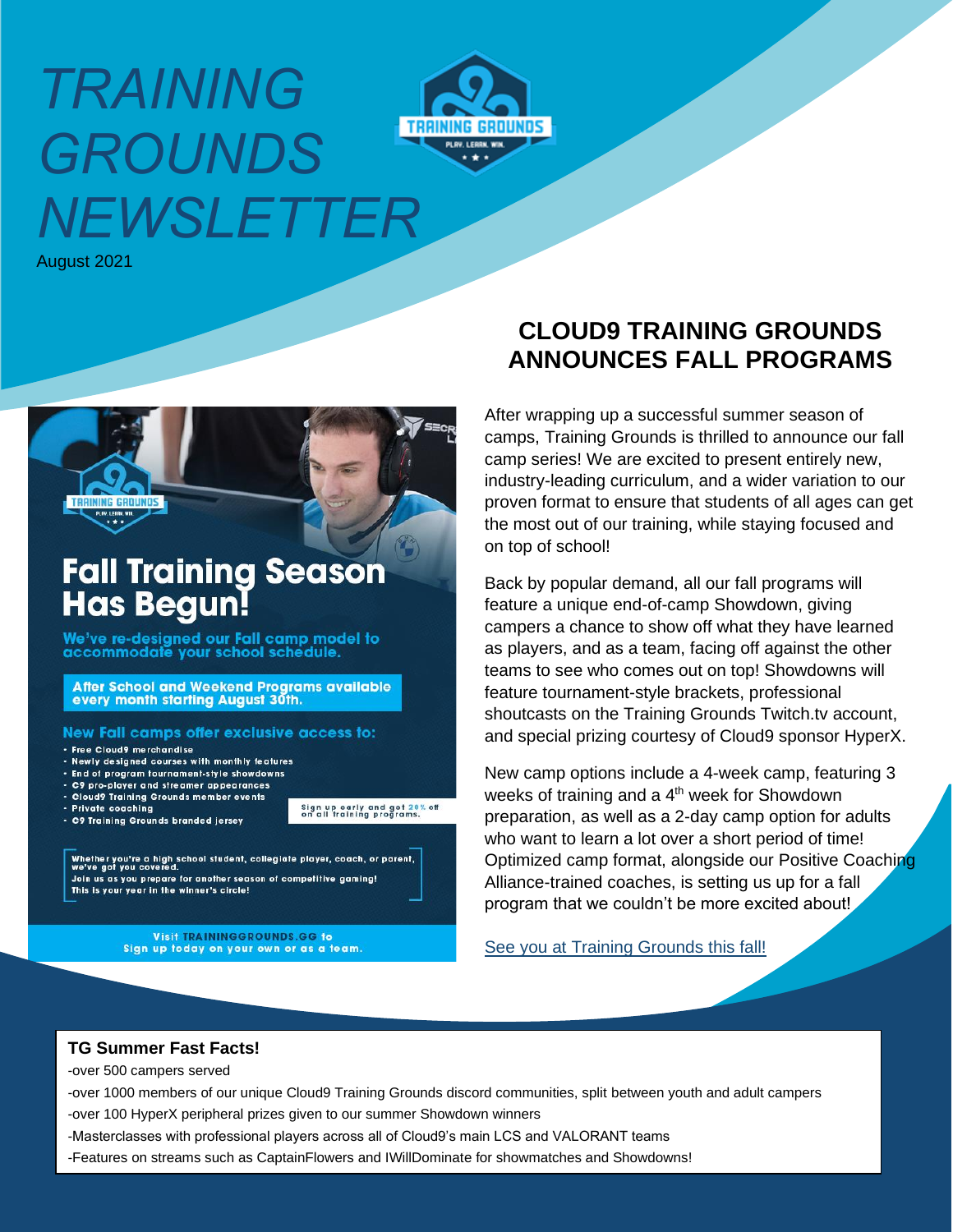# *TRAINING GROUNDS NEWSLETTER*



August 2021



## **Fall Training Season Has Begun!**

We've re-designed our Fall camp model to accommodate your school schedule.

After School and Weekend Programs available every month starting August 30th.

#### New Fall camps offer exclusive access to:

- · Free Cloud9 merchandise
- . Newly designed courses with monthly features
- · End of program tournament-style showdowns
- . C9 pro-player and streamer appearances . Cloud9 Training Grounds member events
- · Private coaching
- C9 Training Grounds branded jersey

Sign up early and get 20% off<br>on all training programs.

Whether you're a high school student, collegiate player, coach, or parent,<br>we've got you covered. Join us as you prepare for another season of competitive gaming! This is your year in the winner's circle!

> **Visit TRAININGGROUNDS.GG to** Sign up today on your own or as a team.

## **CLOUD9 TRAINING GROUNDS ANNOUNCES FALL PROGRAMS**

After wrapping up a successful summer season of camps, Training Grounds is thrilled to announce our fall camp series! We are excited to present entirely new, industry-leading curriculum, and a wider variation to our proven format to ensure that students of all ages can get the most out of our training, while staying focused and on top of school!

Back by popular demand, all our fall programs will feature a unique end-of-camp Showdown, giving campers a chance to show off what they have learned as players, and as a team, facing off against the other teams to see who comes out on top! Showdowns will feature tournament-style brackets, professional shoutcasts on the Training Grounds Twitch.tv account, and special prizing courtesy of Cloud9 sponsor HyperX.

New camp options include a 4-week camp, featuring 3 weeks of training and a  $4<sup>th</sup>$  week for Showdown preparation, as well as a 2-day camp option for adults who want to learn a lot over a short period of time! Optimized camp format, alongside our Positive Coaching Alliance-trained coaches, is setting us up for a fall program that we couldn't be more excited about!

See you at Training Grounds this fall!

#### **TG Summer Fast Facts!**

-over 500 campers served

-over 1000 members of our unique Cloud9 Training Grounds discord communities, split between youth and adult campers -over 100 HyperX peripheral prizes given to our summer Showdown winners

- -Masterclasses with professional players across all of Cloud9's main LCS and VALORANT teams
- -Features on streams such as CaptainFlowers and IWillDominate for showmatches and Showdowns!